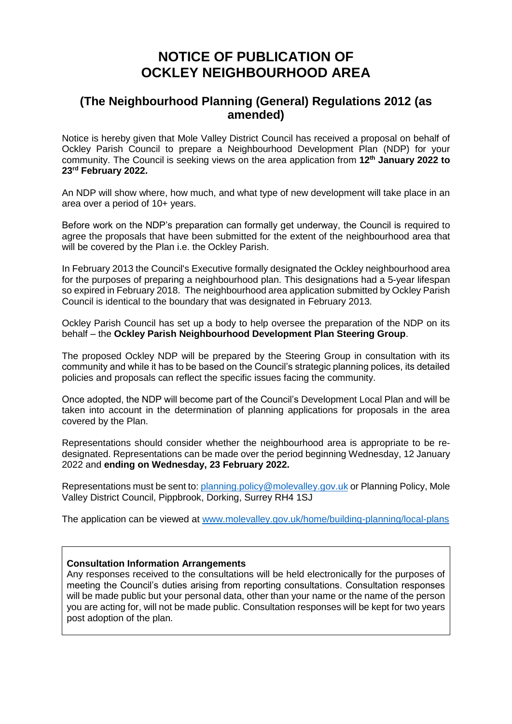## **NOTICE OF PUBLICATION OF OCKLEY NEIGHBOURHOOD AREA**

## **(The Neighbourhood Planning (General) Regulations 2012 (as amended)**

Notice is hereby given that Mole Valley District Council has received a proposal on behalf of Ockley Parish Council to prepare a Neighbourhood Development Plan (NDP) for your community. The Council is seeking views on the area application from **12th January 2022 to 23rd February 2022.**

An NDP will show where, how much, and what type of new development will take place in an area over a period of 10+ years.

Before work on the NDP's preparation can formally get underway, the Council is required to agree the proposals that have been submitted for the extent of the neighbourhood area that will be covered by the Plan i.e. the Ockley Parish.

In February 2013 the Council's Executive formally designated the Ockley neighbourhood area for the purposes of preparing a neighbourhood plan. This designations had a 5-year lifespan so expired in February 2018. The neighbourhood area application submitted by Ockley Parish Council is identical to the boundary that was designated in February 2013.

Ockley Parish Council has set up a body to help oversee the preparation of the NDP on its behalf – the **Ockley Parish Neighbourhood Development Plan Steering Group**.

The proposed Ockley NDP will be prepared by the Steering Group in consultation with its community and while it has to be based on the Council's strategic planning polices, its detailed policies and proposals can reflect the specific issues facing the community.

Once adopted, the NDP will become part of the Council's Development Local Plan and will be taken into account in the determination of planning applications for proposals in the area covered by the Plan.

Representations should consider whether the neighbourhood area is appropriate to be redesignated. Representations can be made over the period beginning Wednesday, 12 January 2022 and **ending on Wednesday, 23 February 2022.**

Representations must be sent to[: planning.policy@molevalley.gov.uk](mailto:planning.policy@molevalley.gov.uk) or Planning Policy, Mole Valley District Council, Pippbrook, Dorking, Surrey RH4 1SJ

The application can be viewed at [www.molevalley.gov.uk/home/building-planning/local-plans](http://www.molevalley.gov.uk/home/building-planning/local-plans)

## **Consultation Information Arrangements**

Any responses received to the consultations will be held electronically for the purposes of meeting the Council's duties arising from reporting consultations. Consultation responses will be made public but your personal data, other than your name or the name of the person you are acting for, will not be made public. Consultation responses will be kept for two years post adoption of the plan.